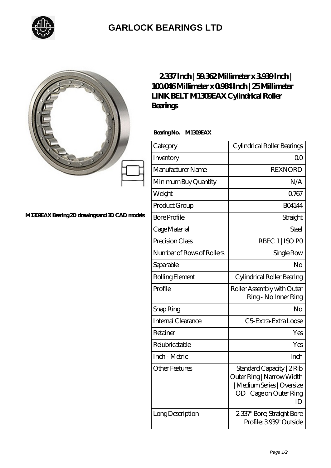

## **[GARLOCK BEARINGS LTD](https://m.letterstopriests.com)**

|                                              | 2337Inch   59362Millimeter x 3939Inch  <br>100046Millimeterx0984Inch   25Millimeter<br><b>LINK BELT M130EAX Cylindrical Roller</b><br><b>Bearings</b> |                                                                                                                       |
|----------------------------------------------|-------------------------------------------------------------------------------------------------------------------------------------------------------|-----------------------------------------------------------------------------------------------------------------------|
|                                              | BearingNo.<br>M130EAX                                                                                                                                 |                                                                                                                       |
|                                              | Category                                                                                                                                              | Cylindrical Roller Bearings                                                                                           |
|                                              | Inventory                                                                                                                                             | 0 <sup>0</sup>                                                                                                        |
|                                              | Manufacturer Name                                                                                                                                     | <b>REXNORD</b>                                                                                                        |
|                                              | Minimum Buy Quantity                                                                                                                                  | N/A                                                                                                                   |
|                                              | Weight                                                                                                                                                | Q767                                                                                                                  |
|                                              | Product Group                                                                                                                                         | <b>BO4144</b>                                                                                                         |
| M130EAXBearing 2D drawings and 3D CAD models | <b>Bore Profile</b>                                                                                                                                   | Straight                                                                                                              |
|                                              | Cage Material                                                                                                                                         | Steel                                                                                                                 |
|                                              | Precision Class                                                                                                                                       | RBEC 1   ISO PO                                                                                                       |
|                                              | Number of Rows of Rollers                                                                                                                             | Single Row                                                                                                            |
|                                              | Separable                                                                                                                                             | No                                                                                                                    |
|                                              | Rolling Element                                                                                                                                       | Cylindrical Roller Bearing                                                                                            |
|                                              | Profile                                                                                                                                               | Roller Assembly with Outer<br>Ring - No Inner Ring                                                                    |
|                                              | Snap Ring                                                                                                                                             | No                                                                                                                    |
|                                              | Internal Clearance                                                                                                                                    | C5 Extra Extra Loose                                                                                                  |
|                                              | Retainer                                                                                                                                              | Yes                                                                                                                   |
|                                              | Relubricatable                                                                                                                                        | Yes                                                                                                                   |
|                                              | Inch - Metric                                                                                                                                         | Inch                                                                                                                  |
|                                              | <b>Other Features</b>                                                                                                                                 | Standard Capacity   2 Rib<br>Outer Ring   Narrow Width<br>  Medium Series   Oversize<br>OD   Cage on Outer Ring<br>ID |
|                                              | Long Description                                                                                                                                      | 2337" Bore; Straight Bore<br>Profile; 3939" Outside                                                                   |